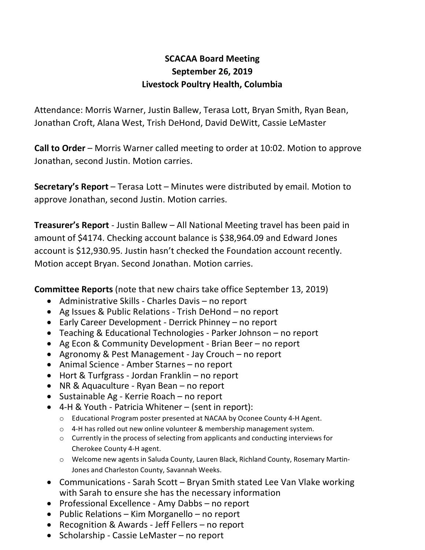## **SCACAA Board Meeting September 26, 2019 Livestock Poultry Health, Columbia**

Attendance: Morris Warner, Justin Ballew, Terasa Lott, Bryan Smith, Ryan Bean, Jonathan Croft, Alana West, Trish DeHond, David DeWitt, Cassie LeMaster

**Call to Order** – Morris Warner called meeting to order at 10:02. Motion to approve Jonathan, second Justin. Motion carries.

**Secretary's Report** – Terasa Lott – Minutes were distributed by email. Motion to approve Jonathan, second Justin. Motion carries.

**Treasurer's Report** - Justin Ballew – All National Meeting travel has been paid in amount of \$4174. Checking account balance is \$38,964.09 and Edward Jones account is \$12,930.95. Justin hasn't checked the Foundation account recently. Motion accept Bryan. Second Jonathan. Motion carries.

**Committee Reports** (note that new chairs take office September 13, 2019)

- Administrative Skills Charles Davis no report
- Ag Issues & Public Relations Trish DeHond no report
- Early Career Development Derrick Phinney no report
- Teaching & Educational Technologies Parker Johnson no report
- Ag Econ & Community Development Brian Beer no report
- Agronomy & Pest Management Jay Crouch no report
- Animal Science Amber Starnes no report
- Hort & Turfgrass Jordan Franklin no report
- NR & Aquaculture Ryan Bean no report
- Sustainable Ag Kerrie Roach no report
- 4-H & Youth Patricia Whitener (sent in report):
	- o Educational Program poster presented at NACAA by Oconee County 4-H Agent.
	- o 4-H has rolled out new online volunteer & membership management system.
	- o Currently in the process of selecting from applicants and conducting interviews for Cherokee County 4-H agent.
	- o Welcome new agents in Saluda County, Lauren Black, Richland County, Rosemary Martin-Jones and Charleston County, Savannah Weeks.
- Communications Sarah Scott Bryan Smith stated Lee Van Vlake working with Sarah to ensure she has the necessary information
- Professional Excellence Amy Dabbs no report
- Public Relations Kim Morganello no report
- Recognition & Awards Jeff Fellers no report
- Scholarship Cassie LeMaster no report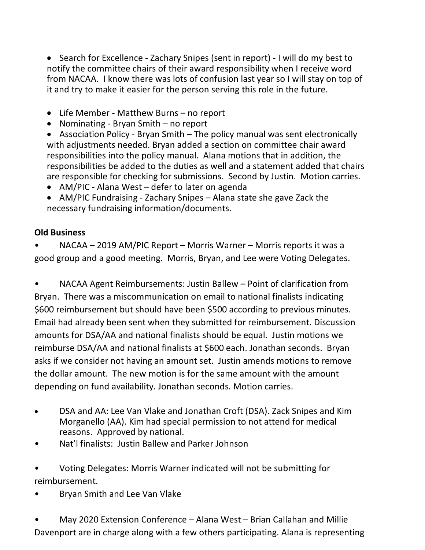• Search for Excellence - Zachary Snipes (sent in report) - I will do my best to notify the committee chairs of their award responsibility when I receive word from NACAA. I know there was lots of confusion last year so I will stay on top of it and try to make it easier for the person serving this role in the future.

- Life Member Matthew Burns no report
- Nominating Bryan Smith no report
- Association Policy Bryan Smith The policy manual was sent electronically with adjustments needed. Bryan added a section on committee chair award responsibilities into the policy manual. Alana motions that in addition, the responsibilities be added to the duties as well and a statement added that chairs are responsible for checking for submissions. Second by Justin. Motion carries.
- AM/PIC Alana West defer to later on agenda
- AM/PIC Fundraising Zachary Snipes Alana state she gave Zack the necessary fundraising information/documents.

## **Old Business**

• NACAA – 2019 AM/PIC Report – Morris Warner – Morris reports it was a good group and a good meeting. Morris, Bryan, and Lee were Voting Delegates.

• NACAA Agent Reimbursements: Justin Ballew – Point of clarification from Bryan. There was a miscommunication on email to national finalists indicating \$600 reimbursement but should have been \$500 according to previous minutes. Email had already been sent when they submitted for reimbursement. Discussion amounts for DSA/AA and national finalists should be equal. Justin motions we reimburse DSA/AA and national finalists at \$600 each. Jonathan seconds. Bryan asks if we consider not having an amount set. Justin amends motions to remove the dollar amount. The new motion is for the same amount with the amount depending on fund availability. Jonathan seconds. Motion carries.

- DSA and AA: Lee Van Vlake and Jonathan Croft (DSA). Zack Snipes and Kim Morganello (AA). Kim had special permission to not attend for medical reasons. Approved by national.
- Nat'l finalists: Justin Ballew and Parker Johnson
- Voting Delegates: Morris Warner indicated will not be submitting for reimbursement.
- Bryan Smith and Lee Van Vlake

• May 2020 Extension Conference – Alana West – Brian Callahan and Millie Davenport are in charge along with a few others participating. Alana is representing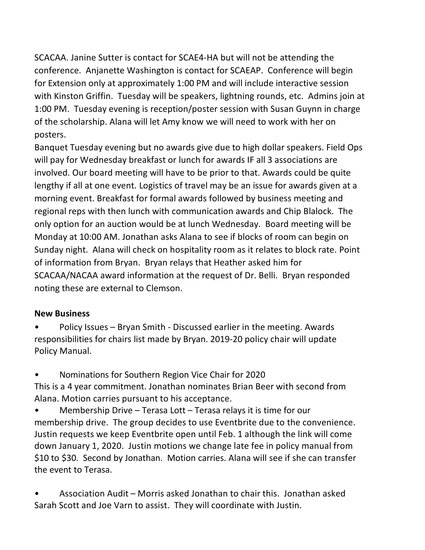SCACAA. Janine Sutter is contact for SCAE4-HA but will not be attending the conference. Anjanette Washington is contact for SCAEAP. Conference will begin for Extension only at approximately 1:00 PM and will include interactive session with Kinston Griffin. Tuesday will be speakers, lightning rounds, etc. Admins join at 1:00 PM. Tuesday evening is reception/poster session with Susan Guynn in charge of the scholarship. Alana will let Amy know we will need to work with her on posters.

Banquet Tuesday evening but no awards give due to high dollar speakers. Field Ops will pay for Wednesday breakfast or lunch for awards IF all 3 associations are involved. Our board meeting will have to be prior to that. Awards could be quite lengthy if all at one event. Logistics of travel may be an issue for awards given at a morning event. Breakfast for formal awards followed by business meeting and regional reps with then lunch with communication awards and Chip Blalock. The only option for an auction would be at lunch Wednesday. Board meeting will be Monday at 10:00 AM. Jonathan asks Alana to see if blocks of room can begin on Sunday night. Alana will check on hospitality room as it relates to block rate. Point of information from Bryan. Bryan relays that Heather asked him for SCACAA/NACAA award information at the request of Dr. Belli. Bryan responded noting these are external to Clemson.

## **New Business**

• Policy Issues – Bryan Smith - Discussed earlier in the meeting. Awards responsibilities for chairs list made by Bryan. 2019-20 policy chair will update Policy Manual.

• Nominations for Southern Region Vice Chair for 2020

This is a 4 year commitment. Jonathan nominates Brian Beer with second from Alana. Motion carries pursuant to his acceptance.

Membership Drive – Terasa Lott – Terasa relays it is time for our membership drive. The group decides to use Eventbrite due to the convenience. Justin requests we keep Eventbrite open until Feb. 1 although the link will come down January 1, 2020. Justin motions we change late fee in policy manual from \$10 to \$30. Second by Jonathan. Motion carries. Alana will see if she can transfer the event to Terasa.

• Association Audit – Morris asked Jonathan to chair this. Jonathan asked Sarah Scott and Joe Varn to assist. They will coordinate with Justin.